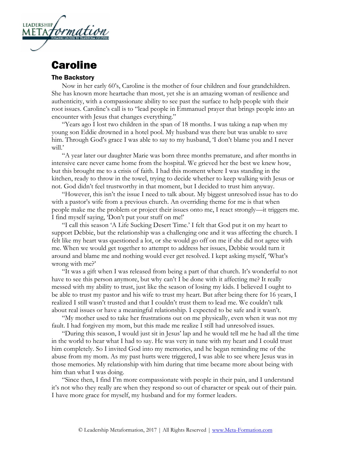

## **Caroline**

## The Backstory

Now in her early 60's, Caroline is the mother of four children and four grandchildren. She has known more heartache than most, yet she is an amazing woman of resilience and authenticity, with a compassionate ability to see past the surface to help people with their root issues. Caroline's call is to "lead people in Emmanuel prayer that brings people into an encounter with Jesus that changes everything."

"Years ago I lost two children in the span of 18 months. I was taking a nap when my young son Eddie drowned in a hotel pool. My husband was there but was unable to save him. Through God's grace I was able to say to my husband, 'I don't blame you and I never will.'

"A year later our daughter Marie was born three months premature, and after months in intensive care never came home from the hospital. We grieved her the best we knew how, but this brought me to a crisis of faith. I had this moment where I was standing in the kitchen, ready to throw in the towel, trying to decide whether to keep walking with Jesus or not. God didn't feel trustworthy in that moment, but I decided to trust him anyway.

"However, this isn't the issue I need to talk about. My biggest unresolved issue has to do with a pastor's wife from a previous church. An overriding theme for me is that when people make me the problem or project their issues onto me, I react strongly—it triggers me. I find myself saying, 'Don't put your stuff on me!'

"I call this season 'A Life Sucking Desert Time.' I felt that God put it on my heart to support Debbie, but the relationship was a challenging one and it was affecting the church. I felt like my heart was questioned a lot, or she would go off on me if she did not agree with me. When we would get together to attempt to address her issues, Debbie would turn it around and blame me and nothing would ever get resolved. I kept asking myself, 'What's wrong with me?'

"It was a gift when I was released from being a part of that church. It's wonderful to not have to see this person anymore, but why can't I be done with it affecting me? It really messed with my ability to trust, just like the season of losing my kids. I believed I ought to be able to trust my pastor and his wife to trust my heart. But after being there for 16 years, I realized I still wasn't trusted and that I couldn't trust them to lead me. We couldn't talk about real issues or have a meaningful relationship. I expected to be safe and it wasn't.

"My mother used to take her frustrations out on me physically, even when it was not my fault. I had forgiven my mom, but this made me realize I still had unresolved issues.

"During this season, I would just sit in Jesus' lap and he would tell me he had all the time in the world to hear what I had to say. He was very in tune with my heart and I could trust him completely. So I invited God into my memories, and he began reminding me of the abuse from my mom. As my past hurts were triggered, I was able to see where Jesus was in those memories. My relationship with him during that time became more about being with him than what I was doing.

"Since then, I find I'm more compassionate with people in their pain, and I understand it's not who they really are when they respond so out of character or speak out of their pain. I have more grace for myself, my husband and for my former leaders.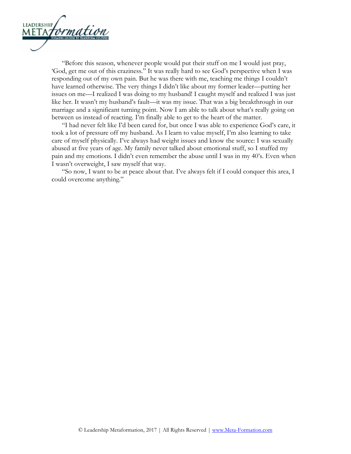

"Before this season, whenever people would put their stuff on me I would just pray, 'God, get me out of this craziness." It was really hard to see God's perspective when I was responding out of my own pain. But he was there with me, teaching me things I couldn't have learned otherwise. The very things I didn't like about my former leader—putting her issues on me—I realized I was doing to my husband! I caught myself and realized I was just like her. It wasn't my husband's fault—it was my issue. That was a big breakthrough in our marriage and a significant turning point. Now I am able to talk about what's really going on between us instead of reacting. I'm finally able to get to the heart of the matter.

"I had never felt like I'd been cared for, but once I was able to experience God's care, it took a lot of pressure off my husband. As I learn to value myself, I'm also learning to take care of myself physically. I've always had weight issues and know the source: I was sexually abused at five years of age. My family never talked about emotional stuff, so I stuffed my pain and my emotions. I didn't even remember the abuse until I was in my 40's. Even when I wasn't overweight, I saw myself that way.

"So now, I want to be at peace about that. I've always felt if I could conquer this area, I could overcome anything."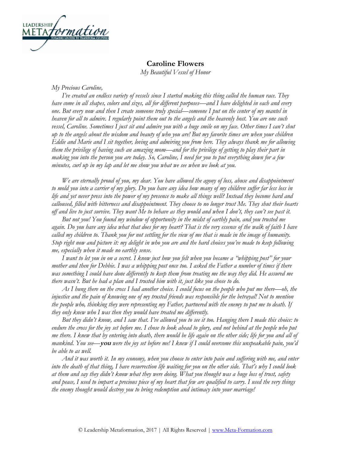

## **Caroline Flowers**

*My Beautiful Vessel of Honor*

*My Precious Caroline,*

*I've created an endless variety of vessels since I started making this thing called the human race. They have come in all shapes, colors and sizes, all for different purposes—and I have delighted in each and every one. But every now and then I create someone truly special—someone I put on the center of my mantel in heaven for all to admire. I regularly point them out to the angels and the heavenly host. You are one such vessel, Caroline. Sometimes I just sit and admire you with a huge smile on my face. Other times I can't shut up to the angels about the wisdom and beauty of who you are! But my favorite times are when your children Eddie and Marie and I sit together, loving and admiring you from here. They always thank me for allowing them the privilege of having such an amazing mom—and for the privilege of getting to play their part in making you into the person you are today. So, Caroline, I need for you to put everything down for a few minutes, curl up in my lap and let me show you what we see when we look at you.*

*We are eternally proud of you, my dear. You have allowed the agony of loss, abuse and disappointment to mold you into a carrier of my glory. Do you have any idea how many of my children suffer far less loss in life and yet never press into the power of my presence to make all things well? Instead they become hard and calloused, filled with bitterness and disappointment. They choose to no longer trust Me. They shut their hearts off and live to just survive. They want Me to behave as they would and when I don't, they can't see past it.* 

*But not you! You found my window of opportunity in the midst of earthly pain, and you trusted me again. Do you have any idea what that does for my heart? That is the very essence of the walk of faith I have called my children to. Thank you for not settling for the view of me that is made in the image of humanity. Stop right now and picture it: my delight in who you are and the hard choices you've made to keep following me, especially when it made no earthly sense.* 

*I want to let you in on a secret. I know just how you felt when you became a "whipping post" for your mother and then for Debbie. I was a whipping post once too. I asked the Father a number of times if there was something I could have done differently to keep them from treating me the way they did. He assured me there wasn't. But he had a plan and I trusted him with it, just like you chose to do.* 

*As I hung there on the cross I had another choice. I could focus on the people who put me there—oh, the injustice and the pain of knowing one of my trusted friends was responsible for the betrayal! Not to mention the people who, thinking they were representing my Father, partnered with the enemy to put me to death. If they only knew who I was then they would have treated me differently.* 

*But they didn't know, and I saw that. I've allowed you to see it too. Hanging there I made this choice: to*  endure the cross for the joy set before me. I chose to look ahead to glory, and not behind at the people who put *me there. I knew that by entering into death, there would be life again on the other side; life for you and all of mankind. You see—***you** *were the joy set before me! I knew if I could overcome this unspeakable pain, you'd be able to as well.* 

*And it was worth it. In my economy, when you choose to enter into pain and suffering with me, and enter into the death of that thing, I have resurrection life waiting for you on the other side. That's why I could look at them and say they didn't know what they were doing. What you thought was a huge loss of trust, safety and peace, I used to impart a precious piece of my heart that few are qualified to carry. I used the very things the enemy thought would destroy you to bring redemption and intimacy into your marriage!*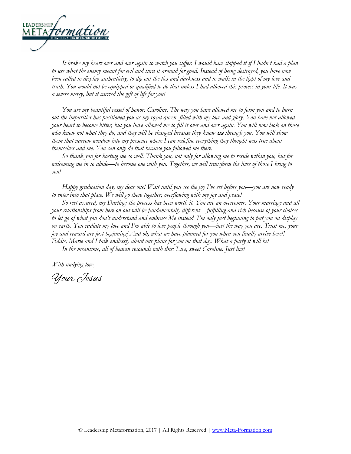

*It broke my heart over and over again to watch you suffer. I would have stopped it if I hadn't had a plan to use what the enemy meant for evil and turn it around for good. Instead of being destroyed, you have now been called to display authenticity, to dig out the lies and darkness and to walk in the light of my love and truth. You would not be equipped or qualified to do that unless I had allowed this process in your life. It was a severe mercy, but it carried the gift of life for you!*

*You are my beautiful vessel of honor, Caroline. The way you have allowed me to form you and to burn out the impurities has positioned you as my royal queen, filled with my love and glory. You have not allowed your heart to become bitter, but you have allowed me to fill it over and over again. You will now look on those who know not what they do, and they will be changed because they know* **us** *through you. You will show them that narrow window into my presence where I can redefine everything they thought was true about themselves and me. You can only do that because you followed me there.* 

*So thank you for hosting me so well. Thank you, not only for allowing me to reside within you, but for welcoming me in to abide—to become one with you. Together, we will transform the lives of those I bring to you!* 

*Happy graduation day, my dear one! Wait until you see the joy I've set before you—you are now ready to enter into that place. We will go there together, overflowing with my joy and peace!*

*So rest assured, my Darling: the process has been worth it. You are an overcomer. Your marriage and all your relationships from here on out will be fundamentally different—fulfilling and rich because of your choices to let go of what you don't understand and embrace Me instead. I'm only just beginning to put you on display on earth. You radiate my love and I'm able to love people through you—just the way you are. Trust me, your joy and reward are just beginning! And oh, what we have planned for you when you finally arrive here!! Eddie, Marie and I talk endlessly about our plans for you on that day. What a party it will be!*

*In the meantime, all of heaven resounds with this: Live, sweet Caroline. Just live!*

*With undying love,*

Your Jesus